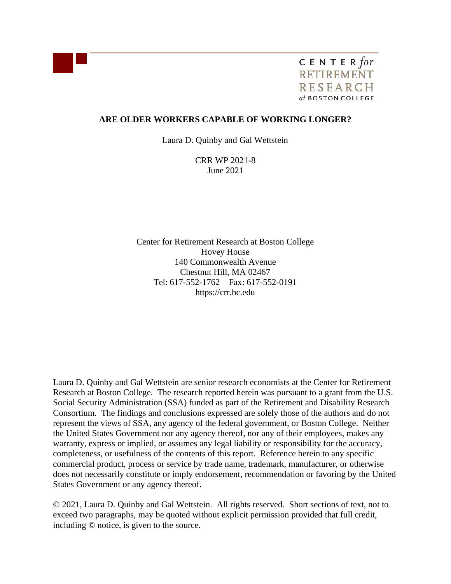

C E N T E R for **RETIREMENT RESEARCH** at BOSTON COLLEGE

## **ARE OLDER WORKERS CAPABLE OF WORKING LONGER?**

Laura D. Quinby and Gal Wettstein

CRR WP 2021-8 June 2021

Center for Retirement Research at Boston College Hovey House 140 Commonwealth Avenue Chestnut Hill, MA 02467 Tel: 617-552-1762 Fax: 617-552-0191 https://crr.bc.edu

Laura D. Quinby and Gal Wettstein are senior research economists at the Center for Retirement Research at Boston College. The research reported herein was pursuant to a grant from the U.S. Social Security Administration (SSA) funded as part of the Retirement and Disability Research Consortium. The findings and conclusions expressed are solely those of the authors and do not represent the views of SSA, any agency of the federal government, or Boston College. Neither the United States Government nor any agency thereof, nor any of their employees, makes any warranty, express or implied, or assumes any legal liability or responsibility for the accuracy, completeness, or usefulness of the contents of this report. Reference herein to any specific commercial product, process or service by trade name, trademark, manufacturer, or otherwise does not necessarily constitute or imply endorsement, recommendation or favoring by the United States Government or any agency thereof.

© 2021, Laura D. Quinby and Gal Wettstein. All rights reserved. Short sections of text, not to exceed two paragraphs, may be quoted without explicit permission provided that full credit, including © notice, is given to the source.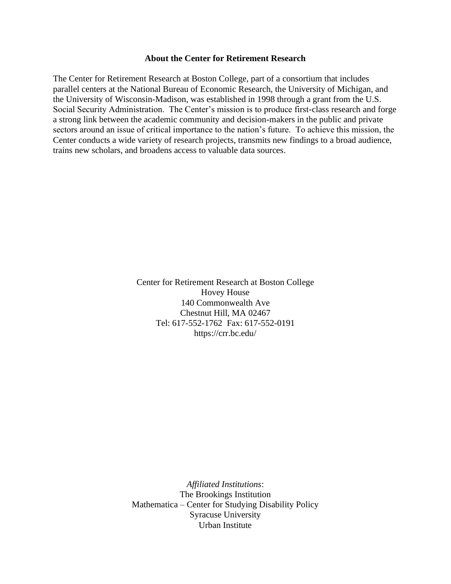#### **About the Center for Retirement Research**

The Center for Retirement Research at Boston College, part of a consortium that includes parallel centers at the National Bureau of Economic Research, the University of Michigan, and the University of Wisconsin-Madison, was established in 1998 through a grant from the U.S. Social Security Administration. The Center's mission is to produce first-class research and forge a strong link between the academic community and decision-makers in the public and private sectors around an issue of critical importance to the nation's future. To achieve this mission, the Center conducts a wide variety of research projects, transmits new findings to a broad audience, trains new scholars, and broadens access to valuable data sources.

> Center for Retirement Research at Boston College Hovey House 140 Commonwealth Ave Chestnut Hill, MA 02467 Tel: 617-552-1762 Fax: 617-552-0191 <https://crr.bc.edu/>

*Affiliated Institutions*: The Brookings Institution Mathematica – Center for Studying Disability Policy Syracuse University Urban Institute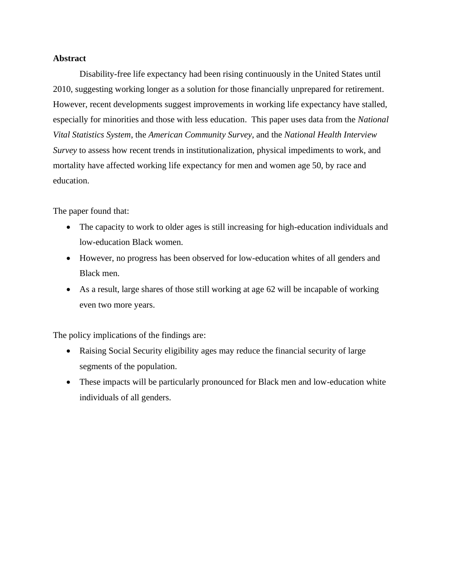## **Abstract**

Disability-free life expectancy had been rising continuously in the United States until 2010, suggesting working longer as a solution for those financially unprepared for retirement. However, recent developments suggest improvements in working life expectancy have stalled, especially for minorities and those with less education. This paper uses data from the *National Vital Statistics System*, the *American Community Survey*, and the *National Health Interview Survey* to assess how recent trends in institutionalization, physical impediments to work, and mortality have affected working life expectancy for men and women age 50, by race and education.

The paper found that:

- The capacity to work to older ages is still increasing for high-education individuals and low-education Black women.
- However, no progress has been observed for low-education whites of all genders and Black men.
- As a result, large shares of those still working at age 62 will be incapable of working even two more years.

The policy implications of the findings are:

- Raising Social Security eligibility ages may reduce the financial security of large segments of the population.
- These impacts will be particularly pronounced for Black men and low-education white individuals of all genders.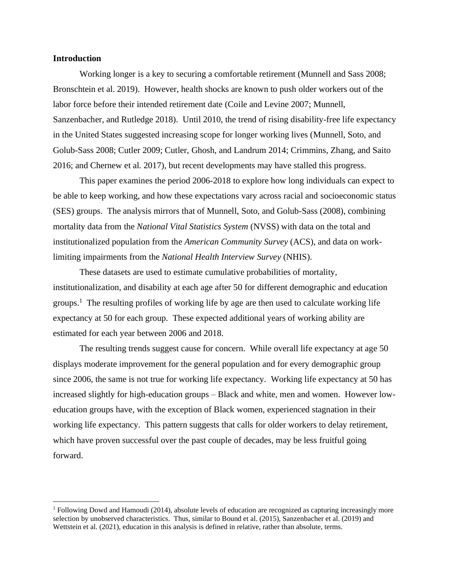#### **Introduction**

Working longer is a key to securing a comfortable retirement (Munnell and Sass 2008; Bronschtein et al. 2019). However, health shocks are known to push older workers out of the labor force before their intended retirement date (Coile and Levine 2007; Munnell, Sanzenbacher, and Rutledge 2018). Until 2010, the trend of rising disability-free life expectancy in the United States suggested increasing scope for longer working lives (Munnell, Soto, and Golub-Sass 2008; Cutler 2009; Cutler, Ghosh, and Landrum 2014; Crimmins, Zhang, and Saito 2016; and Chernew et al. 2017), but recent developments may have stalled this progress.

This paper examines the period 2006-2018 to explore how long individuals can expect to be able to keep working, and how these expectations vary across racial and socioeconomic status (SES) groups. The analysis mirrors that of Munnell, Soto, and Golub-Sass (2008), combining mortality data from the *National Vital Statistics System* (NVSS) with data on the total and institutionalized population from the *American Community Survey* (ACS), and data on worklimiting impairments from the *National Health Interview Survey* (NHIS).

These datasets are used to estimate cumulative probabilities of mortality, institutionalization, and disability at each age after 50 for different demographic and education groups.<sup>1</sup> The resulting profiles of working life by age are then used to calculate working life expectancy at 50 for each group. These expected additional years of working ability are estimated for each year between 2006 and 2018.

The resulting trends suggest cause for concern. While overall life expectancy at age 50 displays moderate improvement for the general population and for every demographic group since 2006, the same is not true for working life expectancy. Working life expectancy at 50 has increased slightly for high-education groups – Black and white, men and women. However loweducation groups have, with the exception of Black women, experienced stagnation in their working life expectancy. This pattern suggests that calls for older workers to delay retirement, which have proven successful over the past couple of decades, may be less fruitful going forward.

<sup>1</sup> Following Dowd and Hamoudi (2014), absolute levels of education are recognized as capturing increasingly more selection by unobserved characteristics. Thus, similar to Bound et al. (2015), Sanzenbacher et al. (2019) and Wettstein et al. (2021), education in this analysis is defined in relative, rather than absolute, terms.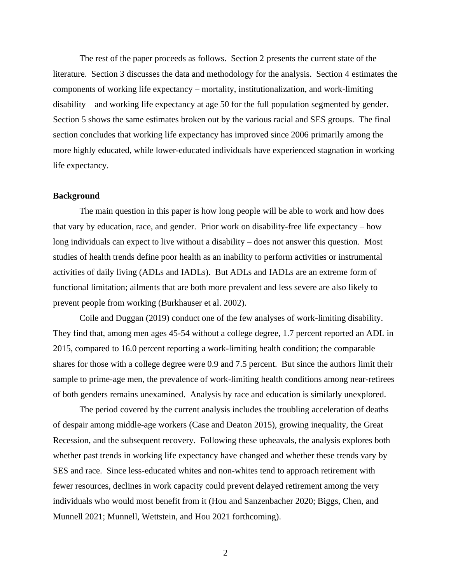The rest of the paper proceeds as follows. Section 2 presents the current state of the literature. Section 3 discusses the data and methodology for the analysis. Section 4 estimates the components of working life expectancy – mortality, institutionalization, and work-limiting disability – and working life expectancy at age 50 for the full population segmented by gender. Section 5 shows the same estimates broken out by the various racial and SES groups. The final section concludes that working life expectancy has improved since 2006 primarily among the more highly educated, while lower-educated individuals have experienced stagnation in working life expectancy.

#### **Background**

The main question in this paper is how long people will be able to work and how does that vary by education, race, and gender. Prior work on disability-free life expectancy – how long individuals can expect to live without a disability – does not answer this question. Most studies of health trends define poor health as an inability to perform activities or instrumental activities of daily living (ADLs and IADLs). But ADLs and IADLs are an extreme form of functional limitation; ailments that are both more prevalent and less severe are also likely to prevent people from working (Burkhauser et al. 2002).

Coile and Duggan (2019) conduct one of the few analyses of work-limiting disability. They find that, among men ages 45-54 without a college degree, 1.7 percent reported an ADL in 2015, compared to 16.0 percent reporting a work-limiting health condition; the comparable shares for those with a college degree were 0.9 and 7.5 percent. But since the authors limit their sample to prime-age men, the prevalence of work-limiting health conditions among near-retirees of both genders remains unexamined. Analysis by race and education is similarly unexplored.

The period covered by the current analysis includes the troubling acceleration of deaths of despair among middle-age workers (Case and Deaton 2015), growing inequality, the Great Recession, and the subsequent recovery. Following these upheavals, the analysis explores both whether past trends in working life expectancy have changed and whether these trends vary by SES and race. Since less-educated whites and non-whites tend to approach retirement with fewer resources, declines in work capacity could prevent delayed retirement among the very individuals who would most benefit from it (Hou and Sanzenbacher 2020; Biggs, Chen, and Munnell 2021; Munnell, Wettstein, and Hou 2021 forthcoming).

2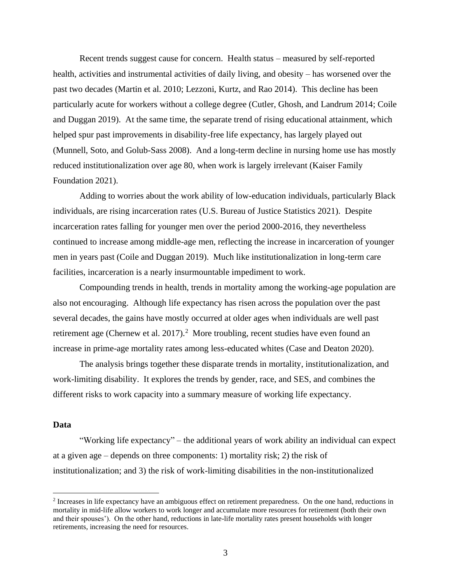Recent trends suggest cause for concern. Health status – measured by self-reported health, activities and instrumental activities of daily living, and obesity – has worsened over the past two decades (Martin et al. 2010; Lezzoni, Kurtz, and Rao 2014). This decline has been particularly acute for workers without a college degree (Cutler, Ghosh, and Landrum 2014; Coile and Duggan 2019). At the same time, the separate trend of rising educational attainment, which helped spur past improvements in disability-free life expectancy, has largely played out (Munnell, Soto, and Golub-Sass 2008). And a long-term decline in nursing home use has mostly reduced institutionalization over age 80, when work is largely irrelevant (Kaiser Family Foundation 2021).

Adding to worries about the work ability of low-education individuals, particularly Black individuals, are rising incarceration rates (U.S. Bureau of Justice Statistics 2021). Despite incarceration rates falling for younger men over the period 2000-2016, they nevertheless continued to increase among middle-age men, reflecting the increase in incarceration of younger men in years past (Coile and Duggan 2019). Much like institutionalization in long-term care facilities, incarceration is a nearly insurmountable impediment to work.

Compounding trends in health, trends in mortality among the working-age population are also not encouraging. Although life expectancy has risen across the population over the past several decades, the gains have mostly occurred at older ages when individuals are well past retirement age (Chernew et al.  $2017$ ).<sup>2</sup> More troubling, recent studies have even found an increase in prime-age mortality rates among less-educated whites (Case and Deaton 2020).

The analysis brings together these disparate trends in mortality, institutionalization, and work-limiting disability. It explores the trends by gender, race, and SES, and combines the different risks to work capacity into a summary measure of working life expectancy.

#### **Data**

"Working life expectancy" – the additional years of work ability an individual can expect at a given age – depends on three components: 1) mortality risk; 2) the risk of institutionalization; and 3) the risk of work-limiting disabilities in the non-institutionalized

<sup>&</sup>lt;sup>2</sup> Increases in life expectancy have an ambiguous effect on retirement preparedness. On the one hand, reductions in mortality in mid-life allow workers to work longer and accumulate more resources for retirement (both their own and their spouses'). On the other hand, reductions in late-life mortality rates present households with longer retirements, increasing the need for resources.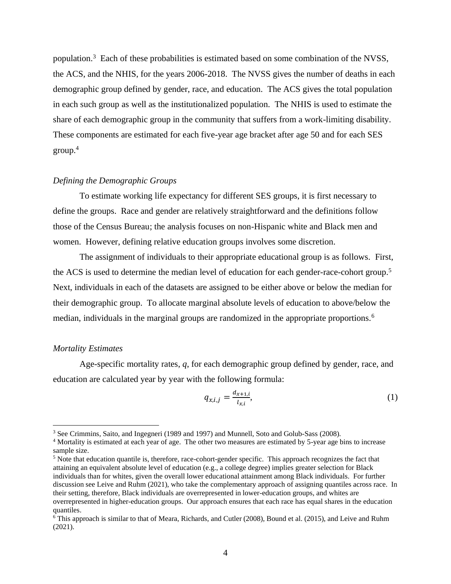population.<sup>3</sup> Each of these probabilities is estimated based on some combination of the NVSS, the ACS, and the NHIS, for the years 2006-2018. The NVSS gives the number of deaths in each demographic group defined by gender, race, and education. The ACS gives the total population in each such group as well as the institutionalized population. The NHIS is used to estimate the share of each demographic group in the community that suffers from a work-limiting disability. These components are estimated for each five-year age bracket after age 50 and for each SES group.<sup>4</sup>

#### *Defining the Demographic Groups*

To estimate working life expectancy for different SES groups, it is first necessary to define the groups. Race and gender are relatively straightforward and the definitions follow those of the Census Bureau; the analysis focuses on non-Hispanic white and Black men and women. However, defining relative education groups involves some discretion.

The assignment of individuals to their appropriate educational group is as follows. First, the ACS is used to determine the median level of education for each gender-race-cohort group.<sup>5</sup> Next, individuals in each of the datasets are assigned to be either above or below the median for their demographic group. To allocate marginal absolute levels of education to above/below the median, individuals in the marginal groups are randomized in the appropriate proportions.<sup>6</sup>

#### *Mortality Estimates*

Age-specific mortality rates, *q*, for each demographic group defined by gender, race, and education are calculated year by year with the following formula:

$$
q_{x,i,j} = \frac{d_{x+1,i}}{l_{x,i}},
$$
 (1)

<sup>3</sup> See Crimmins, Saito, and Ingegneri (1989 and 1997) and Munnell, Soto and Golub-Sass (2008).

<sup>4</sup> Mortality is estimated at each year of age. The other two measures are estimated by 5-year age bins to increase sample size.

<sup>&</sup>lt;sup>5</sup> Note that education quantile is, therefore, race-cohort-gender specific. This approach recognizes the fact that attaining an equivalent absolute level of education (e.g., a college degree) implies greater selection for Black individuals than for whites, given the overall lower educational attainment among Black individuals. For further discussion see Leive and Ruhm (2021), who take the complementary approach of assigning quantiles across race. In their setting, therefore, Black individuals are overrepresented in lower-education groups, and whites are overrepresented in higher-education groups. Our approach ensures that each race has equal shares in the education quantiles.

<sup>6</sup> This approach is similar to that of Meara, Richards, and Cutler (2008), Bound et al. (2015), and Leive and Ruhm (2021).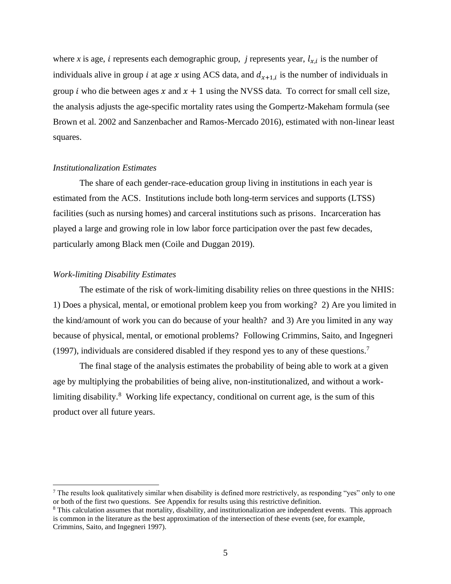where x is age, i represents each demographic group, j represents year,  $l_{x,i}$  is the number of individuals alive in group *i* at age *x* using ACS data, and  $d_{x+1,i}$  is the number of individuals in group *i* who die between ages x and  $x + 1$  using the NVSS data. To correct for small cell size, the analysis adjusts the age-specific mortality rates using the Gompertz-Makeham formula (see Brown et al. 2002 and Sanzenbacher and Ramos-Mercado 2016), estimated with non-linear least squares.

#### *Institutionalization Estimates*

The share of each gender-race-education group living in institutions in each year is estimated from the ACS. Institutions include both long-term services and supports (LTSS) facilities (such as nursing homes) and carceral institutions such as prisons. Incarceration has played a large and growing role in low labor force participation over the past few decades, particularly among Black men (Coile and Duggan 2019).

#### *Work-limiting Disability Estimates*

The estimate of the risk of work-limiting disability relies on three questions in the NHIS: 1) Does a physical, mental, or emotional problem keep you from working? 2) Are you limited in the kind/amount of work you can do because of your health? and 3) Are you limited in any way because of physical, mental, or emotional problems? Following Crimmins, Saito, and Ingegneri (1997), individuals are considered disabled if they respond yes to any of these questions.<sup>7</sup>

The final stage of the analysis estimates the probability of being able to work at a given age by multiplying the probabilities of being alive, non-institutionalized, and without a worklimiting disability.<sup>8</sup> Working life expectancy, conditional on current age, is the sum of this product over all future years.

<sup>&</sup>lt;sup>7</sup> The results look qualitatively similar when disability is defined more restrictively, as responding "yes" only to one or both of the first two questions. See Appendix for results using this restrictive definition.

<sup>8</sup> This calculation assumes that mortality, disability, and institutionalization are independent events. This approach is common in the literature as the best approximation of the intersection of these events (see, for example, Crimmins, Saito, and Ingegneri 1997).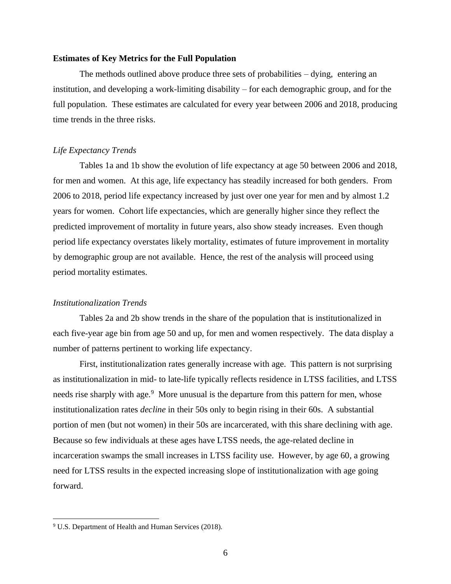#### **Estimates of Key Metrics for the Full Population**

The methods outlined above produce three sets of probabilities – dying, entering an institution, and developing a work-limiting disability – for each demographic group, and for the full population. These estimates are calculated for every year between 2006 and 2018, producing time trends in the three risks.

#### *Life Expectancy Trends*

Tables 1a and 1b show the evolution of life expectancy at age 50 between 2006 and 2018, for men and women. At this age, life expectancy has steadily increased for both genders. From 2006 to 2018, period life expectancy increased by just over one year for men and by almost 1.2 years for women. Cohort life expectancies, which are generally higher since they reflect the predicted improvement of mortality in future years, also show steady increases. Even though period life expectancy overstates likely mortality, estimates of future improvement in mortality by demographic group are not available. Hence, the rest of the analysis will proceed using period mortality estimates.

#### *Institutionalization Trends*

Tables 2a and 2b show trends in the share of the population that is institutionalized in each five-year age bin from age 50 and up, for men and women respectively. The data display a number of patterns pertinent to working life expectancy.

First, institutionalization rates generally increase with age. This pattern is not surprising as institutionalization in mid- to late-life typically reflects residence in LTSS facilities, and LTSS needs rise sharply with age.<sup>9</sup> More unusual is the departure from this pattern for men, whose institutionalization rates *decline* in their 50s only to begin rising in their 60s. A substantial portion of men (but not women) in their 50s are incarcerated, with this share declining with age. Because so few individuals at these ages have LTSS needs, the age-related decline in incarceration swamps the small increases in LTSS facility use. However, by age 60, a growing need for LTSS results in the expected increasing slope of institutionalization with age going forward.

<sup>&</sup>lt;sup>9</sup> U.S. Department of Health and Human Services (2018).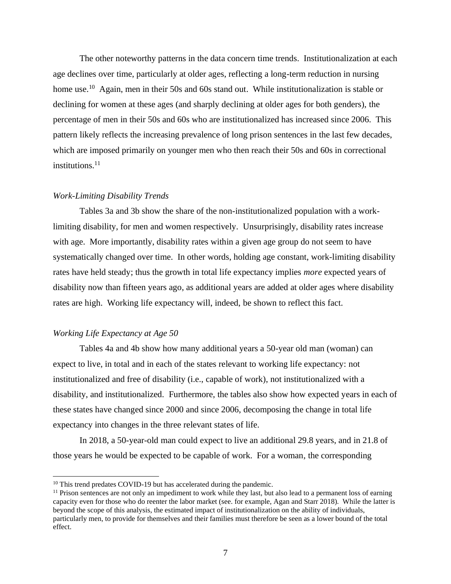The other noteworthy patterns in the data concern time trends. Institutionalization at each age declines over time, particularly at older ages, reflecting a long-term reduction in nursing home use.<sup>10</sup> Again, men in their 50s and 60s stand out. While institutionalization is stable or declining for women at these ages (and sharply declining at older ages for both genders), the percentage of men in their 50s and 60s who are institutionalized has increased since 2006. This pattern likely reflects the increasing prevalence of long prison sentences in the last few decades, which are imposed primarily on younger men who then reach their 50s and 60s in correctional institutions.<sup>11</sup>

#### *Work-Limiting Disability Trends*

Tables 3a and 3b show the share of the non-institutionalized population with a worklimiting disability, for men and women respectively. Unsurprisingly, disability rates increase with age. More importantly, disability rates within a given age group do not seem to have systematically changed over time. In other words, holding age constant, work-limiting disability rates have held steady; thus the growth in total life expectancy implies *more* expected years of disability now than fifteen years ago, as additional years are added at older ages where disability rates are high. Working life expectancy will, indeed, be shown to reflect this fact.

#### *Working Life Expectancy at Age 50*

Tables 4a and 4b show how many additional years a 50-year old man (woman) can expect to live, in total and in each of the states relevant to working life expectancy: not institutionalized and free of disability (i.e., capable of work), not institutionalized with a disability, and institutionalized. Furthermore, the tables also show how expected years in each of these states have changed since 2000 and since 2006, decomposing the change in total life expectancy into changes in the three relevant states of life.

In 2018, a 50-year-old man could expect to live an additional 29.8 years, and in 21.8 of those years he would be expected to be capable of work. For a woman, the corresponding

<sup>&</sup>lt;sup>10</sup> This trend predates COVID-19 but has accelerated during the pandemic.

<sup>&</sup>lt;sup>11</sup> Prison sentences are not only an impediment to work while they last, but also lead to a permanent loss of earning capacity even for those who do reenter the labor market (see. for example, Agan and Starr 2018). While the latter is beyond the scope of this analysis, the estimated impact of institutionalization on the ability of individuals, particularly men, to provide for themselves and their families must therefore be seen as a lower bound of the total effect.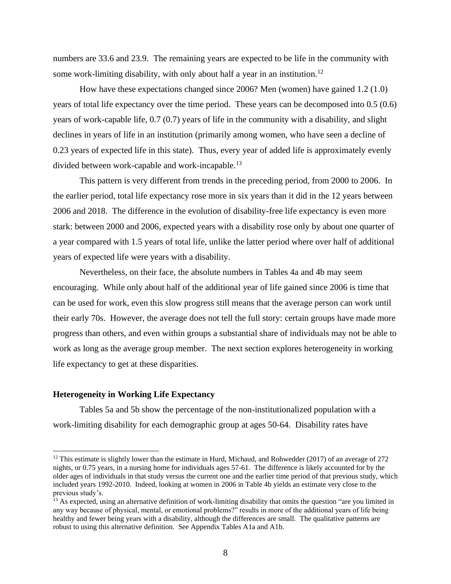numbers are 33.6 and 23.9. The remaining years are expected to be life in the community with some work-limiting disability, with only about half a year in an institution.<sup>12</sup>

How have these expectations changed since 2006? Men (women) have gained 1.2 (1.0) years of total life expectancy over the time period. These years can be decomposed into 0.5 (0.6) years of work-capable life, 0.7 (0.7) years of life in the community with a disability, and slight declines in years of life in an institution (primarily among women, who have seen a decline of 0.23 years of expected life in this state). Thus, every year of added life is approximately evenly divided between work-capable and work-incapable.<sup>13</sup>

This pattern is very different from trends in the preceding period, from 2000 to 2006. In the earlier period, total life expectancy rose more in six years than it did in the 12 years between 2006 and 2018. The difference in the evolution of disability-free life expectancy is even more stark: between 2000 and 2006, expected years with a disability rose only by about one quarter of a year compared with 1.5 years of total life, unlike the latter period where over half of additional years of expected life were years with a disability.

Nevertheless, on their face, the absolute numbers in Tables 4a and 4b may seem encouraging. While only about half of the additional year of life gained since 2006 is time that can be used for work, even this slow progress still means that the average person can work until their early 70s. However, the average does not tell the full story: certain groups have made more progress than others, and even within groups a substantial share of individuals may not be able to work as long as the average group member. The next section explores heterogeneity in working life expectancy to get at these disparities.

#### **Heterogeneity in Working Life Expectancy**

Tables 5a and 5b show the percentage of the non-institutionalized population with a work-limiting disability for each demographic group at ages 50-64. Disability rates have

<sup>&</sup>lt;sup>12</sup> This estimate is slightly lower than the estimate in Hurd, Michaud, and Rohwedder (2017) of an average of 272 nights, or 0.75 years, in a nursing home for individuals ages 57-61. The difference is likely accounted for by the older ages of individuals in that study versus the current one and the earlier time period of that previous study, which included years 1992-2010. Indeed, looking at women in 2006 in Table 4b yields an estimate very close to the previous study's.

<sup>&</sup>lt;sup>13</sup> As expected, using an alternative definition of work-limiting disability that omits the question "are you limited in any way because of physical, mental, or emotional problems?" results in more of the additional years of life being healthy and fewer being years with a disability, although the differences are small. The qualitative patterns are robust to using this alternative definition. See Appendix Tables A1a and A1b.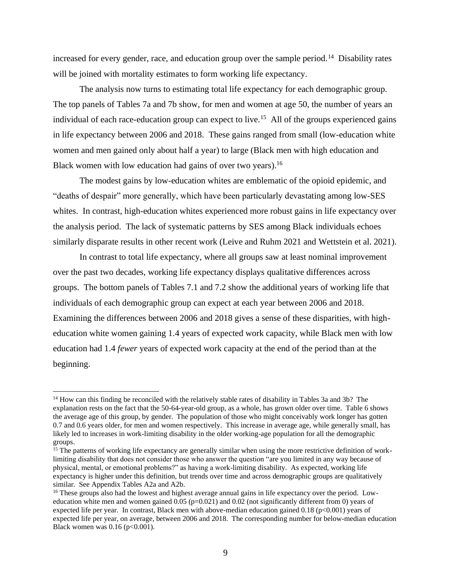increased for every gender, race, and education group over the sample period.<sup>14</sup> Disability rates will be joined with mortality estimates to form working life expectancy.

The analysis now turns to estimating total life expectancy for each demographic group. The top panels of Tables 7a and 7b show, for men and women at age 50, the number of years an individual of each race-education group can expect to live.<sup>15</sup> All of the groups experienced gains in life expectancy between 2006 and 2018. These gains ranged from small (low-education white women and men gained only about half a year) to large (Black men with high education and Black women with low education had gains of over two years).<sup>16</sup>

The modest gains by low-education whites are emblematic of the opioid epidemic, and "deaths of despair" more generally, which have been particularly devastating among low-SES whites. In contrast, high-education whites experienced more robust gains in life expectancy over the analysis period. The lack of systematic patterns by SES among Black individuals echoes similarly disparate results in other recent work (Leive and Ruhm 2021 and Wettstein et al. 2021).

In contrast to total life expectancy, where all groups saw at least nominal improvement over the past two decades, working life expectancy displays qualitative differences across groups. The bottom panels of Tables 7.1 and 7.2 show the additional years of working life that individuals of each demographic group can expect at each year between 2006 and 2018. Examining the differences between 2006 and 2018 gives a sense of these disparities, with higheducation white women gaining 1.4 years of expected work capacity, while Black men with low education had 1.4 *fewer* years of expected work capacity at the end of the period than at the beginning.

<sup>14</sup> How can this finding be reconciled with the relatively stable rates of disability in Tables 3a and 3b? The explanation rests on the fact that the 50-64-year-old group, as a whole, has grown older over time. Table 6 shows the average age of this group, by gender. The population of those who might conceivably work longer has gotten 0.7 and 0.6 years older, for men and women respectively. This increase in average age, while generally small, has likely led to increases in work-limiting disability in the older working-age population for all the demographic groups.

 $<sup>15</sup>$  The patterns of working life expectancy are generally similar when using the more restrictive definition of work-</sup> limiting disability that does not consider those who answer the question "are you limited in any way because of physical, mental, or emotional problems?" as having a work-limiting disability. As expected, working life expectancy is higher under this definition, but trends over time and across demographic groups are qualitatively similar. See Appendix Tables A2a and A2b.

<sup>&</sup>lt;sup>16</sup> These groups also had the lowest and highest average annual gains in life expectancy over the period. Loweducation white men and women gained  $0.05$  ( $p=0.021$ ) and  $0.02$  (not significantly different from 0) years of expected life per year. In contrast, Black men with above-median education gained 0.18 (p<0.001) years of expected life per year, on average, between 2006 and 2018. The corresponding number for below-median education Black women was  $0.16$  (p<0.001).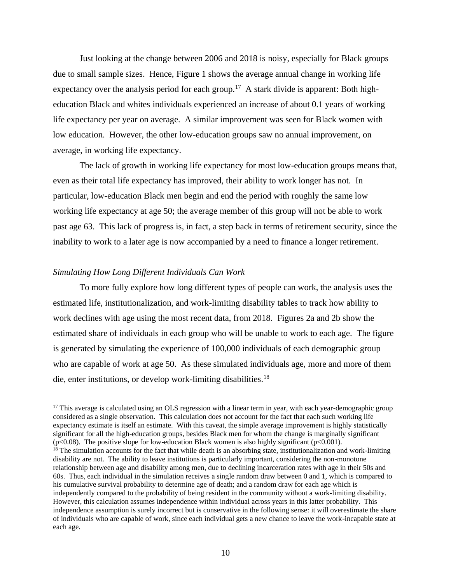Just looking at the change between 2006 and 2018 is noisy, especially for Black groups due to small sample sizes. Hence, Figure 1 shows the average annual change in working life expectancy over the analysis period for each group.<sup>17</sup> A stark divide is apparent: Both higheducation Black and whites individuals experienced an increase of about 0.1 years of working life expectancy per year on average. A similar improvement was seen for Black women with low education. However, the other low-education groups saw no annual improvement, on average, in working life expectancy.

The lack of growth in working life expectancy for most low-education groups means that, even as their total life expectancy has improved, their ability to work longer has not. In particular, low-education Black men begin and end the period with roughly the same low working life expectancy at age 50; the average member of this group will not be able to work past age 63. This lack of progress is, in fact, a step back in terms of retirement security, since the inability to work to a later age is now accompanied by a need to finance a longer retirement.

## *Simulating How Long Different Individuals Can Work*

To more fully explore how long different types of people can work, the analysis uses the estimated life, institutionalization, and work-limiting disability tables to track how ability to work declines with age using the most recent data, from 2018. Figures 2a and 2b show the estimated share of individuals in each group who will be unable to work to each age. The figure is generated by simulating the experience of 100,000 individuals of each demographic group who are capable of work at age 50. As these simulated individuals age, more and more of them die, enter institutions, or develop work-limiting disabilities.<sup>18</sup>

<sup>&</sup>lt;sup>17</sup> This average is calculated using an OLS regression with a linear term in year, with each year-demographic group considered as a single observation. This calculation does not account for the fact that each such working life expectancy estimate is itself an estimate. With this caveat, the simple average improvement is highly statistically significant for all the high-education groups, besides Black men for whom the change is marginally significant ( $p<0.08$ ). The positive slope for low-education Black women is also highly significant ( $p<0.001$ ).

 $18$  The simulation accounts for the fact that while death is an absorbing state, institutionalization and work-limiting disability are not. The ability to leave institutions is particularly important, considering the non-monotone relationship between age and disability among men, due to declining incarceration rates with age in their 50s and 60s. Thus, each individual in the simulation receives a single random draw between 0 and 1, which is compared to his cumulative survival probability to determine age of death; and a random draw for each age which is independently compared to the probability of being resident in the community without a work-limiting disability. However, this calculation assumes independence within individual across years in this latter probability. This independence assumption is surely incorrect but is conservative in the following sense: it will overestimate the share of individuals who are capable of work, since each individual gets a new chance to leave the work-incapable state at each age.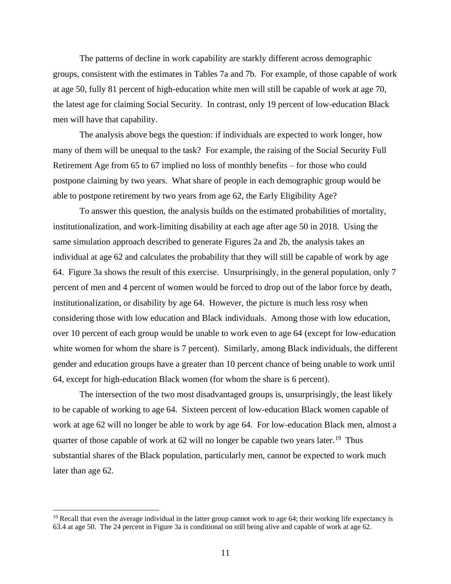The patterns of decline in work capability are starkly different across demographic groups, consistent with the estimates in Tables 7a and 7b. For example, of those capable of work at age 50, fully 81 percent of high-education white men will still be capable of work at age 70, the latest age for claiming Social Security. In contrast, only 19 percent of low-education Black men will have that capability.

The analysis above begs the question: if individuals are expected to work longer, how many of them will be unequal to the task? For example, the raising of the Social Security Full Retirement Age from 65 to 67 implied no loss of monthly benefits – for those who could postpone claiming by two years. What share of people in each demographic group would be able to postpone retirement by two years from age 62, the Early Eligibility Age?

To answer this question, the analysis builds on the estimated probabilities of mortality, institutionalization, and work-limiting disability at each age after age 50 in 2018. Using the same simulation approach described to generate Figures 2a and 2b, the analysis takes an individual at age 62 and calculates the probability that they will still be capable of work by age 64. Figure 3a shows the result of this exercise. Unsurprisingly, in the general population, only 7 percent of men and 4 percent of women would be forced to drop out of the labor force by death, institutionalization, or disability by age 64. However, the picture is much less rosy when considering those with low education and Black individuals. Among those with low education, over 10 percent of each group would be unable to work even to age 64 (except for low-education white women for whom the share is 7 percent). Similarly, among Black individuals, the different gender and education groups have a greater than 10 percent chance of being unable to work until 64, except for high-education Black women (for whom the share is 6 percent).

The intersection of the two most disadvantaged groups is, unsurprisingly, the least likely to be capable of working to age 64. Sixteen percent of low-education Black women capable of work at age 62 will no longer be able to work by age 64. For low-education Black men, almost a quarter of those capable of work at  $62$  will no longer be capable two years later.<sup>19</sup> Thus substantial shares of the Black population, particularly men, cannot be expected to work much later than age 62.

 $19$  Recall that even the average individual in the latter group cannot work to age 64; their working life expectancy is 63.4 at age 50. The 24 percent in Figure 3a is conditional on still being alive and capable of work at age 62.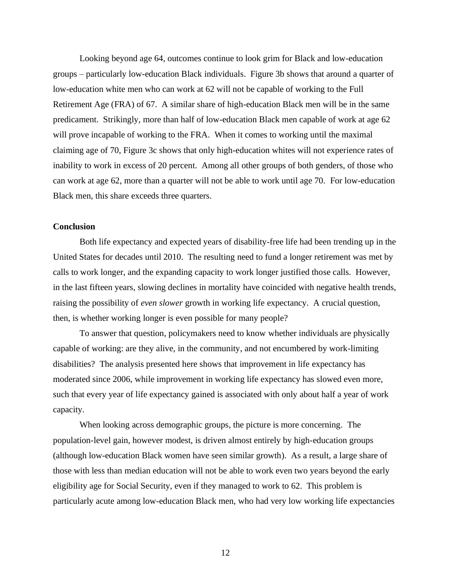Looking beyond age 64, outcomes continue to look grim for Black and low-education groups – particularly low-education Black individuals. Figure 3b shows that around a quarter of low-education white men who can work at 62 will not be capable of working to the Full Retirement Age (FRA) of 67. A similar share of high-education Black men will be in the same predicament. Strikingly, more than half of low-education Black men capable of work at age 62 will prove incapable of working to the FRA. When it comes to working until the maximal claiming age of 70, Figure 3c shows that only high-education whites will not experience rates of inability to work in excess of 20 percent. Among all other groups of both genders, of those who can work at age 62, more than a quarter will not be able to work until age 70. For low-education Black men, this share exceeds three quarters.

#### **Conclusion**

Both life expectancy and expected years of disability-free life had been trending up in the United States for decades until 2010. The resulting need to fund a longer retirement was met by calls to work longer, and the expanding capacity to work longer justified those calls. However, in the last fifteen years, slowing declines in mortality have coincided with negative health trends, raising the possibility of *even slower* growth in working life expectancy. A crucial question, then, is whether working longer is even possible for many people?

To answer that question, policymakers need to know whether individuals are physically capable of working: are they alive, in the community, and not encumbered by work-limiting disabilities? The analysis presented here shows that improvement in life expectancy has moderated since 2006, while improvement in working life expectancy has slowed even more, such that every year of life expectancy gained is associated with only about half a year of work capacity.

When looking across demographic groups, the picture is more concerning. The population-level gain, however modest, is driven almost entirely by high-education groups (although low-education Black women have seen similar growth). As a result, a large share of those with less than median education will not be able to work even two years beyond the early eligibility age for Social Security, even if they managed to work to 62. This problem is particularly acute among low-education Black men, who had very low working life expectancies

12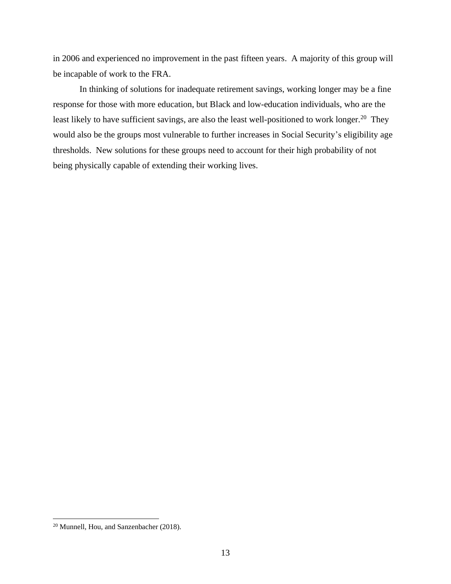in 2006 and experienced no improvement in the past fifteen years. A majority of this group will be incapable of work to the FRA.

In thinking of solutions for inadequate retirement savings, working longer may be a fine response for those with more education, but Black and low-education individuals, who are the least likely to have sufficient savings, are also the least well-positioned to work longer.<sup>20</sup> They would also be the groups most vulnerable to further increases in Social Security's eligibility age thresholds. New solutions for these groups need to account for their high probability of not being physically capable of extending their working lives.

<sup>20</sup> Munnell, Hou, and Sanzenbacher (2018).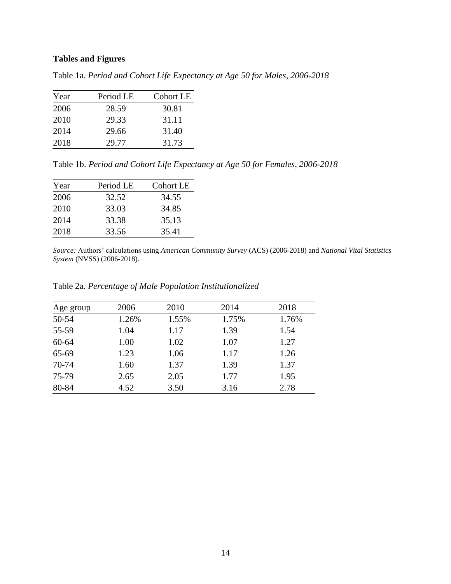# **Tables and Figures**

Table 1a. *Period and Cohort Life Expectancy at Age 50 for Males, 2006-2018*

| Year | Period LE | <b>Cohort LE</b> |
|------|-----------|------------------|
| 2006 | 28.59     | 30.81            |
| 2010 | 29.33     | 31.11            |
| 2014 | 29.66     | 31.40            |
| 2018 | 29.77     | 31.73            |

Table 1b. *Period and Cohort Life Expectancy at Age 50 for Females, 2006-2018*

| Year | Period LE | <b>Cohort LE</b> |
|------|-----------|------------------|
| 2006 | 32.52     | 34.55            |
| 2010 | 33.03     | 34.85            |
| 2014 | 33.38     | 35.13            |
| 2018 | 33.56     | 35.41            |

*Source:* Authors' calculations using *American Community Survey* (ACS) (2006-2018) and *National Vital Statistics System* (NVSS) (2006-2018).

| Table 2a. Percentage of Male Population Institutionalized |  |  |  |
|-----------------------------------------------------------|--|--|--|
|-----------------------------------------------------------|--|--|--|

| Age group | 2006  | 2010  | 2014  | 2018  |
|-----------|-------|-------|-------|-------|
| 50-54     | 1.26% | 1.55% | 1.75% | 1.76% |
| 55-59     | 1.04  | 1.17  | 1.39  | 1.54  |
| $60 - 64$ | 1.00  | 1.02  | 1.07  | 1.27  |
| 65-69     | 1.23  | 1.06  | 1.17  | 1.26  |
| 70-74     | 1.60  | 1.37  | 1.39  | 1.37  |
| 75-79     | 2.65  | 2.05  | 1.77  | 1.95  |
| 80-84     | 4.52  | 3.50  | 3.16  | 2.78  |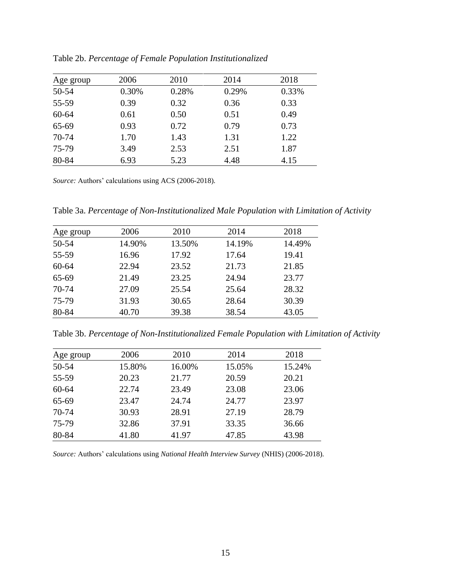| Age group | 2006  | 2010  | 2014  | 2018  |
|-----------|-------|-------|-------|-------|
| 50-54     | 0.30% | 0.28% | 0.29% | 0.33% |
| 55-59     | 0.39  | 0.32  | 0.36  | 0.33  |
| $60 - 64$ | 0.61  | 0.50  | 0.51  | 0.49  |
| 65-69     | 0.93  | 0.72  | 0.79  | 0.73  |
| 70-74     | 1.70  | 1.43  | 1.31  | 1.22  |
| 75-79     | 3.49  | 2.53  | 2.51  | 1.87  |
| 80-84     | 6.93  | 5.23  | 4.48  | 4.15  |

Table 2b. *Percentage of Female Population Institutionalized*

*Source:* Authors' calculations using ACS (2006-2018).

Table 3a. *Percentage of Non-Institutionalized Male Population with Limitation of Activity*

| Age group | 2006   | 2010   | 2014   | 2018   |
|-----------|--------|--------|--------|--------|
| 50-54     | 14.90% | 13.50% | 14.19% | 14.49% |
| 55-59     | 16.96  | 17.92  | 17.64  | 19.41  |
| $60 - 64$ | 22.94  | 23.52  | 21.73  | 21.85  |
| 65-69     | 21.49  | 23.25  | 24.94  | 23.77  |
| 70-74     | 27.09  | 25.54  | 25.64  | 28.32  |
| 75-79     | 31.93  | 30.65  | 28.64  | 30.39  |
| 80-84     | 40.70  | 39.38  | 38.54  | 43.05  |
|           |        |        |        |        |

Table 3b. *Percentage of Non-Institutionalized Female Population with Limitation of Activity*

| Age group | 2006   | 2010   | 2014   | 2018   |
|-----------|--------|--------|--------|--------|
| 50-54     | 15.80% | 16.00% | 15.05% | 15.24% |
| 55-59     | 20.23  | 21.77  | 20.59  | 20.21  |
| $60 - 64$ | 22.74  | 23.49  | 23.08  | 23.06  |
| 65-69     | 23.47  | 24.74  | 24.77  | 23.97  |
| 70-74     | 30.93  | 28.91  | 27.19  | 28.79  |
| 75-79     | 32.86  | 37.91  | 33.35  | 36.66  |
| 80-84     | 41.80  | 41.97  | 47.85  | 43.98  |

*Source:* Authors' calculations using *National Health Interview Survey* (NHIS) (2006-2018).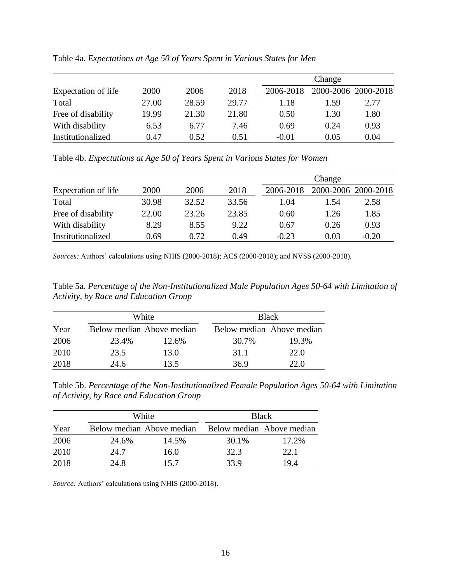|                     |       |       |       |           | Change              |      |
|---------------------|-------|-------|-------|-----------|---------------------|------|
| Expectation of life | 2000  | 2006  | 2018  | 2006-2018 | 2000-2006 2000-2018 |      |
| Total               | 27.00 | 28.59 | 29.77 | 1.18      | 1.59                | 2.77 |
| Free of disability  | 19.99 | 21.30 | 21.80 | 0.50      | 1.30                | 1.80 |
| With disability     | 6.53  | 6.77  | 7.46  | 0.69      | 0.24                | 0.93 |
| Institutionalized   | 0.47  | 0.52  | 0.51  | $-0.01$   | 0.05                | 0.04 |

Table 4a. *Expectations at Age 50 of Years Spent in Various States for Men*

Table 4b. *Expectations at Age 50 of Years Spent in Various States for Women*

|                     |       |       |       |           | Change |                     |
|---------------------|-------|-------|-------|-----------|--------|---------------------|
| Expectation of life | 2000  | 2006  | 2018  | 2006-2018 |        | 2000-2006 2000-2018 |
| Total               | 30.98 | 32.52 | 33.56 | 1.04      | 1.54   | 2.58                |
| Free of disability  | 22.00 | 23.26 | 23.85 | 0.60      | 1.26   | 1.85                |
| With disability     | 8.29  | 8.55  | 9.22  | 0.67      | 0.26   | 0.93                |
| Institutionalized   | 0.69  | 0.72  | 0.49  | $-0.23$   | 0.03   | $-0.20$             |

*Sources:* Authors' calculations using NHIS (2000-2018); ACS (2000-2018); and NVSS (2000-2018).

Table 5a*. Percentage of the Non-Institutionalized Male Population Ages 50-64 with Limitation of Activity, by Race and Education Group*

|      | White |                           | <b>Black</b>              |       |
|------|-------|---------------------------|---------------------------|-------|
| Year |       | Below median Above median | Below median Above median |       |
| 2006 | 23.4% | 12.6%                     | 30.7%                     | 19.3% |
| 2010 | 23.5  | 13.0                      | 31.1                      | 22.0  |
| 2018 | 24.6  | 13.5                      | 36.9                      | 22.0  |

Table 5b. *Percentage of the Non-Institutionalized Female Population Ages 50-64 with Limitation of Activity, by Race and Education Group*

|      | White |                           | <b>Black</b> |                           |
|------|-------|---------------------------|--------------|---------------------------|
| Year |       | Below median Above median |              | Below median Above median |
| 2006 | 24.6% | 14.5%                     | 30.1%        | 17.2%                     |
| 2010 | 24.7  | 16.0                      | 32.3         | 22.1                      |
| 2018 | 24.8  | 15.7                      | 33.9         | 19.4                      |

*Source:* Authors' calculations using NHIS (2000-2018).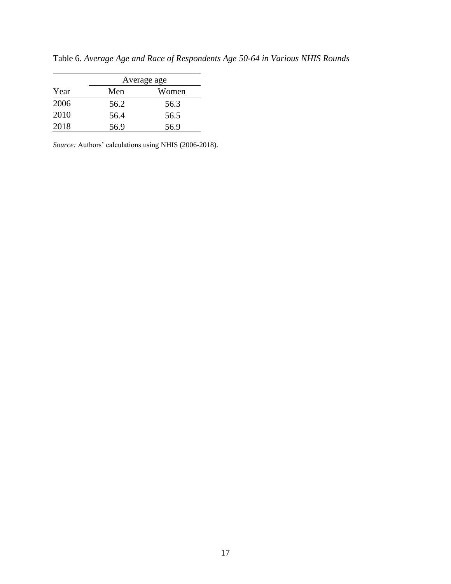|      |      | Average age |
|------|------|-------------|
| Year | Men  | Women       |
| 2006 | 56.2 | 56.3        |
| 2010 | 56.4 | 56.5        |
| 2018 | 56.9 | 56.9        |

Table 6. *Average Age and Race of Respondents Age 50-64 in Various NHIS Rounds*

*Source:* Authors' calculations using NHIS (2006-2018).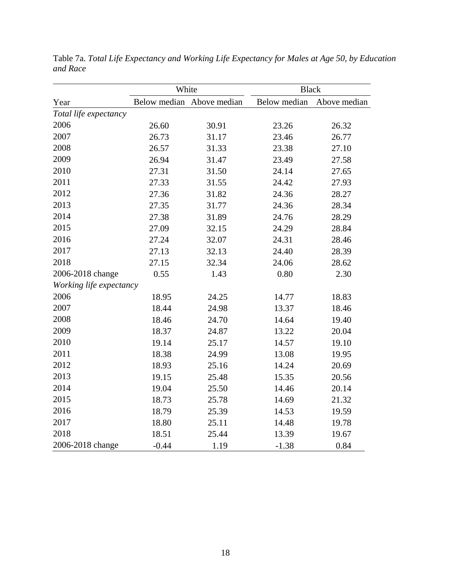|                         | White   |                           | <b>Black</b>        |              |  |
|-------------------------|---------|---------------------------|---------------------|--------------|--|
| Year                    |         | Below median Above median | <b>Below</b> median | Above median |  |
| Total life expectancy   |         |                           |                     |              |  |
| 2006                    | 26.60   | 30.91                     | 23.26               | 26.32        |  |
| 2007                    | 26.73   | 31.17                     | 23.46               | 26.77        |  |
| 2008                    | 26.57   | 31.33                     | 23.38               | 27.10        |  |
| 2009                    | 26.94   | 31.47                     | 23.49               | 27.58        |  |
| 2010                    | 27.31   | 31.50                     | 24.14               | 27.65        |  |
| 2011                    | 27.33   | 31.55                     | 24.42               | 27.93        |  |
| 2012                    | 27.36   | 31.82                     | 24.36               | 28.27        |  |
| 2013                    | 27.35   | 31.77                     | 24.36               | 28.34        |  |
| 2014                    | 27.38   | 31.89                     | 24.76               | 28.29        |  |
| 2015                    | 27.09   | 32.15                     | 24.29               | 28.84        |  |
| 2016                    | 27.24   | 32.07                     | 24.31               | 28.46        |  |
| 2017                    | 27.13   | 32.13                     | 24.40               | 28.39        |  |
| 2018                    | 27.15   | 32.34                     | 24.06               | 28.62        |  |
| 2006-2018 change        | 0.55    | 1.43                      | 0.80                | 2.30         |  |
| Working life expectancy |         |                           |                     |              |  |
| 2006                    | 18.95   | 24.25                     | 14.77               | 18.83        |  |
| 2007                    | 18.44   | 24.98                     | 13.37               | 18.46        |  |
| 2008                    | 18.46   | 24.70                     | 14.64               | 19.40        |  |
| 2009                    | 18.37   | 24.87                     | 13.22               | 20.04        |  |
| 2010                    | 19.14   | 25.17                     | 14.57               | 19.10        |  |
| 2011                    | 18.38   | 24.99                     | 13.08               | 19.95        |  |
| 2012                    | 18.93   | 25.16                     | 14.24               | 20.69        |  |
| 2013                    | 19.15   | 25.48                     | 15.35               | 20.56        |  |
| 2014                    | 19.04   | 25.50                     | 14.46               | 20.14        |  |
| 2015                    | 18.73   | 25.78                     | 14.69               | 21.32        |  |
| 2016                    | 18.79   | 25.39                     | 14.53               | 19.59        |  |
| 2017                    | 18.80   | 25.11                     | 14.48               | 19.78        |  |
| 2018                    | 18.51   | 25.44                     | 13.39               | 19.67        |  |
| 2006-2018 change        | $-0.44$ | 1.19                      | $-1.38$             | 0.84         |  |

Table 7a. *Total Life Expectancy and Working Life Expectancy for Males at Age 50, by Education and Race*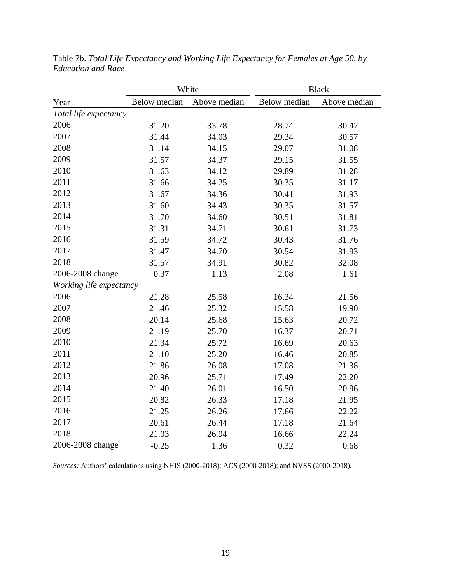|                         |              | White        | <b>Black</b> |              |  |
|-------------------------|--------------|--------------|--------------|--------------|--|
| Year                    | Below median | Above median | Below median | Above median |  |
| Total life expectancy   |              |              |              |              |  |
| 2006                    | 31.20        | 33.78        | 28.74        | 30.47        |  |
| 2007                    | 31.44        | 34.03        | 29.34        | 30.57        |  |
| 2008                    | 31.14        | 34.15        | 29.07        | 31.08        |  |
| 2009                    | 31.57        | 34.37        | 29.15        | 31.55        |  |
| 2010                    | 31.63        | 34.12        | 29.89        | 31.28        |  |
| 2011                    | 31.66        | 34.25        | 30.35        | 31.17        |  |
| 2012                    | 31.67        | 34.36        | 30.41        | 31.93        |  |
| 2013                    | 31.60        | 34.43        | 30.35        | 31.57        |  |
| 2014                    | 31.70        | 34.60        | 30.51        | 31.81        |  |
| 2015                    | 31.31        | 34.71        | 30.61        | 31.73        |  |
| 2016                    | 31.59        | 34.72        | 30.43        | 31.76        |  |
| 2017                    | 31.47        | 34.70        | 30.54        | 31.93        |  |
| 2018                    | 31.57        | 34.91        | 30.82        | 32.08        |  |
| 2006-2008 change        | 0.37         | 1.13         | 2.08         | 1.61         |  |
| Working life expectancy |              |              |              |              |  |
| 2006                    | 21.28        | 25.58        | 16.34        | 21.56        |  |
| 2007                    | 21.46        | 25.32        | 15.58        | 19.90        |  |
| 2008                    | 20.14        | 25.68        | 15.63        | 20.72        |  |
| 2009                    | 21.19        | 25.70        | 16.37        | 20.71        |  |
| 2010                    | 21.34        | 25.72        | 16.69        | 20.63        |  |
| 2011                    | 21.10        | 25.20        | 16.46        | 20.85        |  |
| 2012                    | 21.86        | 26.08        | 17.08        | 21.38        |  |
| 2013                    | 20.96        | 25.71        | 17.49        | 22.20        |  |
| 2014                    | 21.40        | 26.01        | 16.50        | 20.96        |  |
| 2015                    | 20.82        | 26.33        | 17.18        | 21.95        |  |
| 2016                    | 21.25        | 26.26        | 17.66        | 22.22        |  |
| 2017                    | 20.61        | 26.44        | 17.18        | 21.64        |  |
| 2018                    | 21.03        | 26.94        | 16.66        | 22.24        |  |
| 2006-2008 change        | $-0.25$      | 1.36         | 0.32         | 0.68         |  |

Table 7b. *Total Life Expectancy and Working Life Expectancy for Females at Age 50, by Education and Race*

*Sources:* Authors' calculations using NHIS (2000-2018); ACS (2000-2018); and NVSS (2000-2018).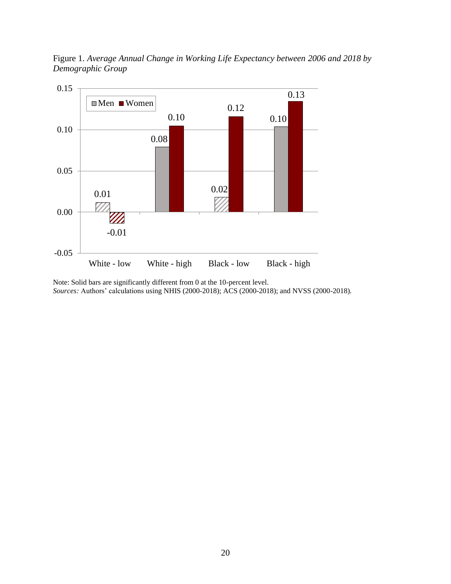



Note: Solid bars are significantly different from 0 at the 10-percent level. *Sources:* Authors' calculations using NHIS (2000-2018); ACS (2000-2018); and NVSS (2000-2018).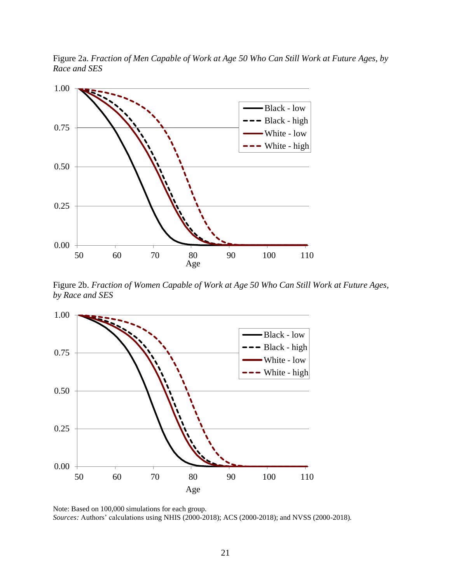Figure 2a. *Fraction of Men Capable of Work at Age 50 Who Can Still Work at Future Ages, by Race and SES*



Figure 2b. *Fraction of Women Capable of Work at Age 50 Who Can Still Work at Future Ages, by Race and SES*



Note: Based on 100,000 simulations for each group. *Sources:* Authors' calculations using NHIS (2000-2018); ACS (2000-2018); and NVSS (2000-2018).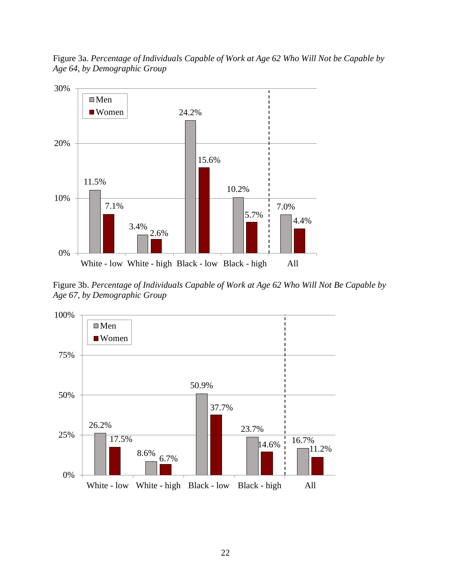Figure 3a. *Percentage of Individuals Capable of Work at Age 62 Who Will Not be Capable by Age 64, by Demographic Group*



Figure 3b. *Percentage of Individuals Capable of Work at Age 62 Who Will Not Be Capable by Age 67, by Demographic Group*

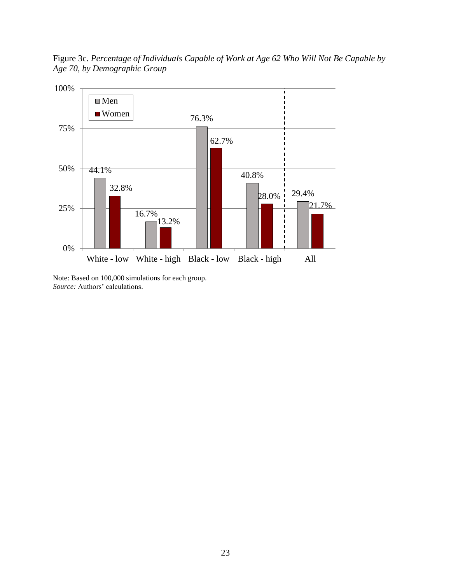Figure 3c. *Percentage of Individuals Capable of Work at Age 62 Who Will Not Be Capable by Age 70, by Demographic Group*



Note: Based on 100,000 simulations for each group. *Source:* Authors' calculations.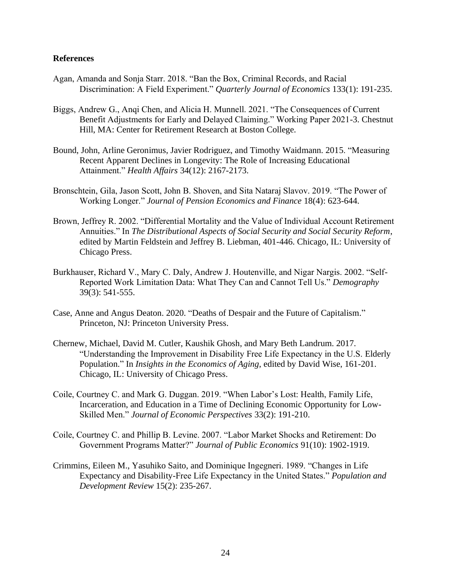### **References**

- Agan, Amanda and Sonja Starr. 2018. "Ban the Box, Criminal Records, and Racial Discrimination: A Field Experiment." *Quarterly Journal of Economics* 133(1): 191-235.
- Biggs, Andrew G., Anqi Chen, and Alicia H. Munnell. 2021. "The Consequences of Current Benefit Adjustments for Early and Delayed Claiming." Working Paper 2021-3. Chestnut Hill, MA: Center for Retirement Research at Boston College.
- Bound, John, Arline Geronimus, Javier Rodriguez, and Timothy Waidmann. 2015. "Measuring Recent Apparent Declines in Longevity: The Role of Increasing Educational Attainment." *Health Affairs* 34(12): 2167-2173.
- Bronschtein, Gila, Jason Scott, John B. Shoven, and Sita Nataraj Slavov. 2019. "The Power of Working Longer." *Journal of Pension Economics and Finance* 18(4): 623-644.
- Brown, Jeffrey R. 2002. "Differential Mortality and the Value of Individual Account Retirement Annuities." In *The Distributional Aspects of Social Security and Social Security Reform*, edited by Martin Feldstein and Jeffrey B. Liebman, 401-446. Chicago, IL: University of Chicago Press.
- Burkhauser, Richard V., Mary C. Daly, Andrew J. Houtenville, and Nigar Nargis. 2002. "Self-Reported Work Limitation Data: What They Can and Cannot Tell Us." *Demography*  39(3): 541-555.
- Case, Anne and Angus Deaton. 2020. "Deaths of Despair and the Future of Capitalism." Princeton, NJ: Princeton University Press.
- Chernew, Michael, David M. Cutler, Kaushik Ghosh, and Mary Beth Landrum. 2017. "Understanding the Improvement in Disability Free Life Expectancy in the U.S. Elderly Population." In *Insights in the Economics of Aging*, edited by David Wise, 161-201. Chicago, IL: University of Chicago Press.
- Coile, Courtney C. and Mark G. Duggan. 2019. "When Labor's Lost: Health, Family Life, Incarceration, and Education in a Time of Declining Economic Opportunity for Low-Skilled Men." *Journal of Economic Perspectives* 33(2): 191-210.
- Coile, Courtney C. and Phillip B. Levine. 2007. "Labor Market Shocks and Retirement: Do Government Programs Matter?" *Journal of Public Economics* 91(10): 1902-1919.
- Crimmins, Eileen M., Yasuhiko Saito, and Dominique Ingegneri. 1989. "Changes in Life Expectancy and Disability-Free Life Expectancy in the United States." *Population and Development Review* 15(2): 235-267.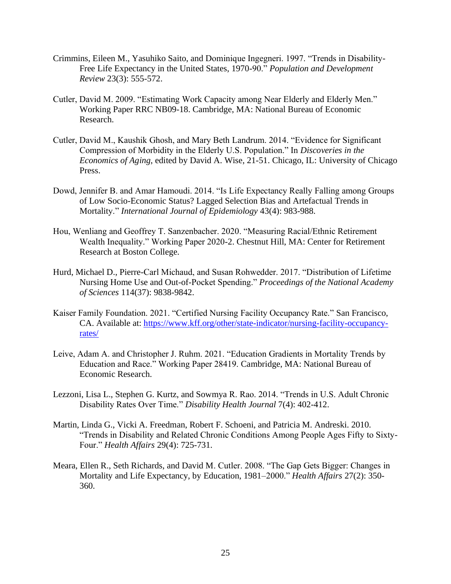- Crimmins, Eileen M., Yasuhiko Saito, and Dominique Ingegneri. 1997. "Trends in Disability-Free Life Expectancy in the United States, 1970-90." *Population and Development Review* 23(3): 555-572.
- Cutler, David M. 2009. "Estimating Work Capacity among Near Elderly and Elderly Men." Working Paper RRC NB09-18. Cambridge, MA: National Bureau of Economic Research.
- Cutler, David M., Kaushik Ghosh, and Mary Beth Landrum. 2014. "Evidence for Significant Compression of Morbidity in the Elderly U.S. Population." In *Discoveries in the Economics of Aging*, edited by David A. Wise, 21-51. Chicago, IL: University of Chicago Press.
- Dowd, Jennifer B. and Amar Hamoudi. 2014. "Is Life Expectancy Really Falling among Groups of Low Socio-Economic Status? Lagged Selection Bias and Artefactual Trends in Mortality." *International Journal of Epidemiology* 43(4): 983-988.
- Hou, Wenliang and Geoffrey T. Sanzenbacher. 2020. "Measuring Racial/Ethnic Retirement Wealth Inequality." Working Paper 2020-2. Chestnut Hill, MA: Center for Retirement Research at Boston College.
- Hurd, Michael D., Pierre-Carl Michaud, and Susan Rohwedder. 2017. "Distribution of Lifetime Nursing Home Use and Out-of-Pocket Spending." *Proceedings of the National Academy of Sciences* 114(37): 9838-9842.
- Kaiser Family Foundation. 2021. "Certified Nursing Facility Occupancy Rate." San Francisco, CA. Available at: [https://www.kff.org/other/state-indicator/nursing-facility-occupancy](https://www.kff.org/other/state-indicator/nursing-facility-occupancy-rates/)[rates/](https://www.kff.org/other/state-indicator/nursing-facility-occupancy-rates/)
- Leive, Adam A. and Christopher J. Ruhm. 2021. "Education Gradients in Mortality Trends by Education and Race." Working Paper 28419. Cambridge, MA: National Bureau of Economic Research.
- Lezzoni, Lisa L., Stephen G. Kurtz, and Sowmya R. Rao. 2014. "Trends in U.S. Adult Chronic Disability Rates Over Time." *Disability Health Journal* 7(4): 402-412.
- Martin, Linda G., Vicki A. Freedman, Robert F. Schoeni, and Patricia M. Andreski. 2010. "Trends in Disability and Related Chronic Conditions Among People Ages Fifty to Sixty-Four." *Health Affairs* 29(4): 725-731.
- Meara, Ellen R., Seth Richards, and David M. Cutler. 2008. "The Gap Gets Bigger: Changes in Mortality and Life Expectancy, by Education, 1981–2000." *Health Affairs* 27(2): 350- 360.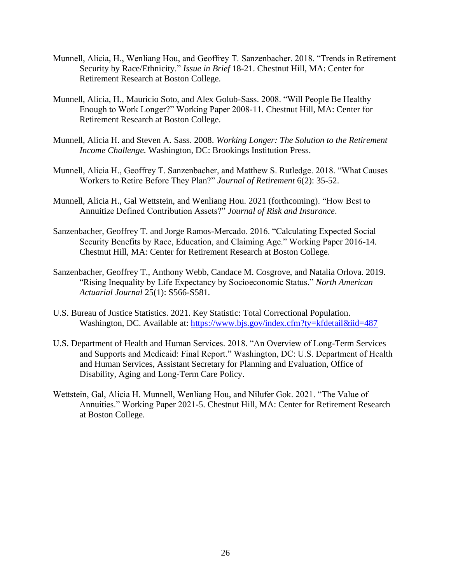- Munnell, Alicia, H., Wenliang Hou, and Geoffrey T. Sanzenbacher. 2018. "Trends in Retirement Security by Race/Ethnicity." *Issue in Brief* 18-21. Chestnut Hill, MA: Center for Retirement Research at Boston College.
- Munnell, Alicia, H., Mauricio Soto, and Alex Golub-Sass. 2008. "Will People Be Healthy Enough to Work Longer?" Working Paper 2008-11. Chestnut Hill, MA: Center for Retirement Research at Boston College.
- Munnell, Alicia H. and Steven A. Sass. 2008. *Working Longer: The Solution to the Retirement Income Challenge.* Washington, DC: Brookings Institution Press.
- Munnell, Alicia H., Geoffrey T. Sanzenbacher, and Matthew S. Rutledge. 2018. "What Causes Workers to Retire Before They Plan?" *Journal of Retirement* 6(2): 35-52.
- Munnell, Alicia H., Gal Wettstein, and Wenliang Hou. 2021 (forthcoming). "How Best to Annuitize Defined Contribution Assets?" *Journal of Risk and Insurance*.
- Sanzenbacher, Geoffrey T. and Jorge Ramos-Mercado. 2016. "Calculating Expected Social Security Benefits by Race, Education, and Claiming Age." Working Paper 2016-14. Chestnut Hill, MA: Center for Retirement Research at Boston College.
- Sanzenbacher, Geoffrey T., Anthony Webb, Candace M. Cosgrove, and Natalia Orlova. 2019. "Rising Inequality by Life Expectancy by Socioeconomic Status." *North American Actuarial Journal* 25(1): S566-S581.
- U.S. Bureau of Justice Statistics. 2021. Key Statistic: Total Correctional Population. Washington, DC. Available at:<https://www.bjs.gov/index.cfm?ty=kfdetail&iid=487>
- U.S. Department of Health and Human Services. 2018. "An Overview of Long-Term Services and Supports and Medicaid: Final Report." Washington, DC: U.S. Department of Health and Human Services, Assistant Secretary for Planning and Evaluation, Office of Disability, Aging and Long-Term Care Policy.
- Wettstein, Gal, Alicia H. Munnell, Wenliang Hou, and Nilufer Gok. 2021. "The Value of Annuities." Working Paper 2021-5. Chestnut Hill, MA: Center for Retirement Research at Boston College.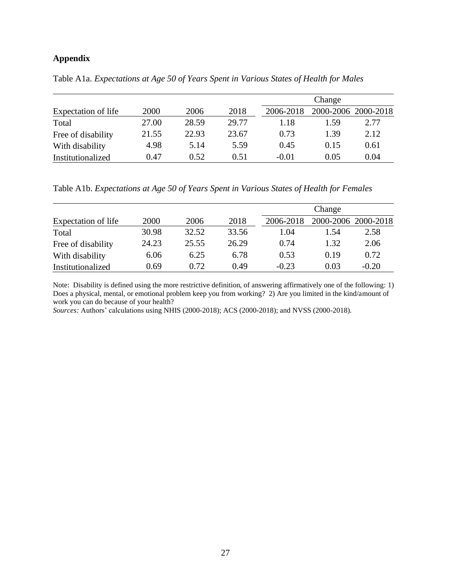# **Appendix**

Table A1a. *Expectations at Age 50 of Years Spent in Various States of Health for Males*

|                     |       |       |       |           | Change              |      |
|---------------------|-------|-------|-------|-----------|---------------------|------|
| Expectation of life | 2000  | 2006  | 2018  | 2006-2018 | 2000-2006 2000-2018 |      |
| Total               | 27.00 | 28.59 | 29.77 | 1.18      | 1.59                | 2.77 |
| Free of disability  | 21.55 | 22.93 | 23.67 | 0.73      | 1.39                | 2.12 |
| With disability     | 4.98  | 5.14  | 5.59  | 0.45      | 0.15                | 0.61 |
| Institutionalized   | 0.47  | 0.52  | 0.51  | $-0.01$   | 0.05                | 0.04 |

Table A1b. *Expectations at Age 50 of Years Spent in Various States of Health for Females*

|                     |       |       |       |           | Change              |         |
|---------------------|-------|-------|-------|-----------|---------------------|---------|
| Expectation of life | 2000  | 2006  | 2018  | 2006-2018 | 2000-2006 2000-2018 |         |
| Total               | 30.98 | 32.52 | 33.56 | 1.04      | 1.54                | 2.58    |
| Free of disability  | 24.23 | 25.55 | 26.29 | 0.74      | 1.32                | 2.06    |
| With disability     | 6.06  | 6.25  | 6.78  | 0.53      | 0.19                | 0.72    |
| Institutionalized   | 0.69  | 0.72  | 0.49  | $-0.23$   | 0.03                | $-0.20$ |

Note: Disability is defined using the more restrictive definition, of answering affirmatively one of the following: 1) Does a physical, mental, or emotional problem keep you from working? 2) Are you limited in the kind/amount of work you can do because of your health?

*Sources:* Authors' calculations using NHIS (2000-2018); ACS (2000-2018); and NVSS (2000-2018).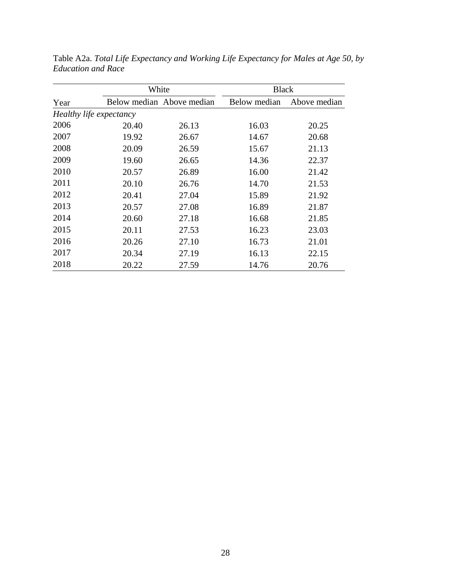|                         | White |                           | <b>Black</b> |              |  |  |  |
|-------------------------|-------|---------------------------|--------------|--------------|--|--|--|
| Year                    |       | Below median Above median | Below median | Above median |  |  |  |
| Healthy life expectancy |       |                           |              |              |  |  |  |
| 2006                    | 20.40 | 26.13                     | 16.03        | 20.25        |  |  |  |
| 2007                    | 19.92 | 26.67                     | 14.67        | 20.68        |  |  |  |
| 2008                    | 20.09 | 26.59                     | 15.67        | 21.13        |  |  |  |
| 2009                    | 19.60 | 26.65                     | 14.36        | 22.37        |  |  |  |
| 2010                    | 20.57 | 26.89                     | 16.00        | 21.42        |  |  |  |
| 2011                    | 20.10 | 26.76                     | 14.70        | 21.53        |  |  |  |
| 2012                    | 20.41 | 27.04                     | 15.89        | 21.92        |  |  |  |
| 2013                    | 20.57 | 27.08                     | 16.89        | 21.87        |  |  |  |
| 2014                    | 20.60 | 27.18                     | 16.68        | 21.85        |  |  |  |
| 2015                    | 20.11 | 27.53                     | 16.23        | 23.03        |  |  |  |
| 2016                    | 20.26 | 27.10                     | 16.73        | 21.01        |  |  |  |
| 2017                    | 20.34 | 27.19                     | 16.13        | 22.15        |  |  |  |
| 2018                    | 20.22 | 27.59                     | 14.76        | 20.76        |  |  |  |

Table A2a. *Total Life Expectancy and Working Life Expectancy for Males at Age 50, by Education and Race*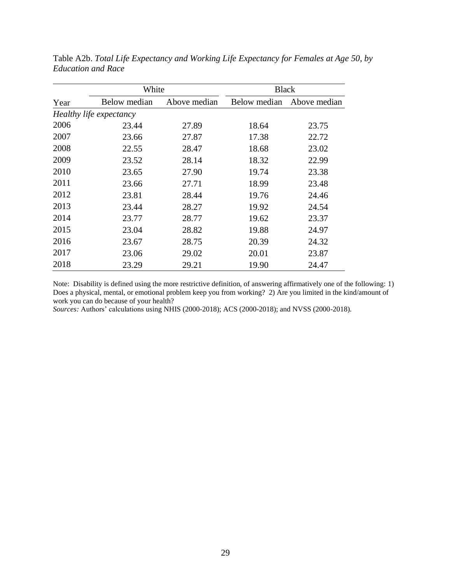|      | White                   |              | <b>Black</b> |              |  |
|------|-------------------------|--------------|--------------|--------------|--|
| Year | Below median            | Above median | Below median | Above median |  |
|      | Healthy life expectancy |              |              |              |  |
| 2006 | 23.44                   | 27.89        | 18.64        | 23.75        |  |
| 2007 | 23.66                   | 27.87        | 17.38        | 22.72        |  |
| 2008 | 22.55                   | 28.47        | 18.68        | 23.02        |  |
| 2009 | 23.52                   | 28.14        | 18.32        | 22.99        |  |
| 2010 | 23.65                   | 27.90        | 19.74        | 23.38        |  |
| 2011 | 23.66                   | 27.71        | 18.99        | 23.48        |  |
| 2012 | 23.81                   | 28.44        | 19.76        | 24.46        |  |
| 2013 | 23.44                   | 28.27        | 19.92        | 24.54        |  |
| 2014 | 23.77                   | 28.77        | 19.62        | 23.37        |  |
| 2015 | 23.04                   | 28.82        | 19.88        | 24.97        |  |
| 2016 | 23.67                   | 28.75        | 20.39        | 24.32        |  |
| 2017 | 23.06                   | 29.02        | 20.01        | 23.87        |  |
| 2018 | 23.29                   | 29.21        | 19.90        | 24.47        |  |

Table A2b. *Total Life Expectancy and Working Life Expectancy for Females at Age 50, by Education and Race*

Note: Disability is defined using the more restrictive definition, of answering affirmatively one of the following: 1) Does a physical, mental, or emotional problem keep you from working? 2) Are you limited in the kind/amount of work you can do because of your health?

*Sources:* Authors' calculations using NHIS (2000-2018); ACS (2000-2018); and NVSS (2000-2018).